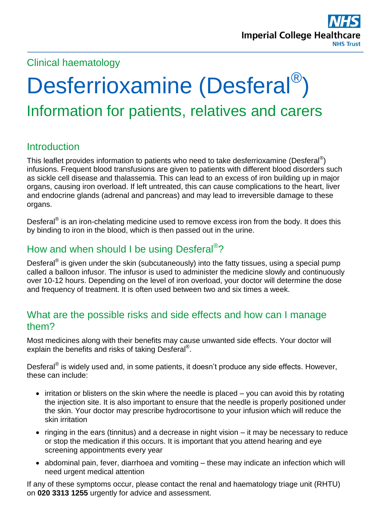# Clinical haematology

# Desferrioxamine (Desferal<sup>®</sup>) Information for patients, relatives and carers

## **Introduction**

This leaflet provides information to patients who need to take desferrioxamine (Desferal $^{\circledR}$ ) infusions. Frequent blood transfusions are given to patients with different blood disorders such as sickle cell disease and thalassemia. This can lead to an excess of iron building up in major organs, causing iron overload. If left untreated, this can cause complications to the heart, liver and endocrine glands (adrenal and pancreas) and may lead to irreversible damage to these organs.

Desferal<sup>®</sup> is an iron-chelating medicine used to remove excess iron from the body. It does this by binding to iron in the blood, which is then passed out in the urine.

# How and when should I be using Desferal<sup>®</sup>?

Desferal<sup>®</sup> is given under the skin (subcutaneously) into the fatty tissues, using a special pump called a balloon infusor. The infusor is used to administer the medicine slowly and continuously over 10-12 hours. Depending on the level of iron overload, your doctor will determine the dose and frequency of treatment. It is often used between two and six times a week.

## What are the possible risks and side effects and how can I manage them?

Most medicines along with their benefits may cause unwanted side effects. Your doctor will explain the benefits and risks of taking Desferal®.

Desferal<sup>®</sup> is widely used and, in some patients, it doesn't produce any side effects. However, these can include:

- $\bullet$  irritation or blisters on the skin where the needle is placed  $-$  you can avoid this by rotating the injection site. It is also important to ensure that the needle is properly positioned under the skin. Your doctor may prescribe hydrocortisone to your infusion which will reduce the skin irritation
- ringing in the ears (tinnitus) and a decrease in night vision it may be necessary to reduce or stop the medication if this occurs. It is important that you attend hearing and eye screening appointments every year
- abdominal pain, fever, diarrhoea and vomiting these may indicate an infection which will need urgent medical attention

If any of these symptoms occur, please contact the renal and haematology triage unit (RHTU) on **020 3313 1255** urgently for advice and assessment.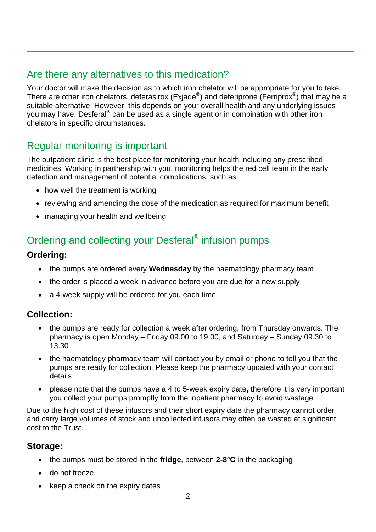# Are there any alternatives to this medication?

Your doctor will make the decision as to which iron chelator will be appropriate for you to take. There are other iron chelators, deferasirox (Exjade®) and deferiprone (Ferriprox®) that may be a suitable alternative. However, this depends on your overall health and any underlying issues you may have. Desferal® can be used as a single agent or in combination with other iron chelators in specific circumstances.

## Regular monitoring is important

The outpatient clinic is the best place for monitoring your health including any prescribed medicines. Working in partnership with you, monitoring helps the red cell team in the early detection and management of potential complications, such as:

- how well the treatment is working
- reviewing and amending the dose of the medication as required for maximum benefit
- managing your health and wellbeing

# Ordering and collecting your Desferal<sup>®</sup> infusion pumps

#### **Ordering:**

- the pumps are ordered every **Wednesday** by the haematology pharmacy team
- the order is placed a week in advance before you are due for a new supply
- a 4-week supply will be ordered for you each time

#### **Collection:**

- the pumps are ready for collection a week after ordering, from Thursday onwards. The pharmacy is open Monday – Friday 09.00 to 19.00, and Saturday – Sunday 09.30 to 13.30
- the haematology pharmacy team will contact you by email or phone to tell you that the pumps are ready for collection. Please keep the pharmacy updated with your contact details
- please note that the pumps have a 4 to 5-week expiry date**,** therefore it is very important you collect your pumps promptly from the inpatient pharmacy to avoid wastage

Due to the high cost of these infusors and their short expiry date the pharmacy cannot order and carry large volumes of stock and uncollected infusors may often be wasted at significant cost to the Trust.

#### **Storage:**

- the pumps must be stored in the **fridge**, between **2-8°C** in the packaging
- do not freeze
- keep a check on the expiry dates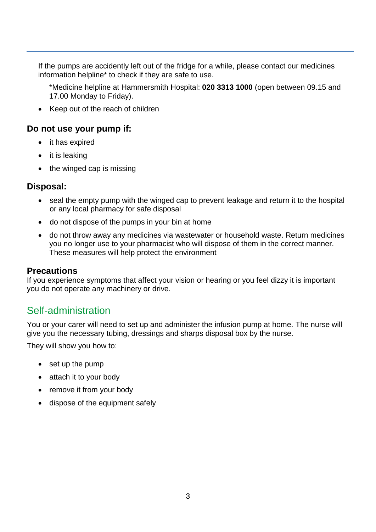If the pumps are accidently left out of the fridge for a while, please contact our medicines information helpline\* to check if they are safe to use.

\*Medicine helpline at Hammersmith Hospital: **020 3313 1000** (open between 09.15 and 17.00 Monday to Friday).

• Keep out of the reach of children

#### **Do not use your pump if:**

- it has expired
- it is leaking
- $\bullet$  the winged cap is missing

#### **Disposal:**

- seal the empty pump with the winged cap to prevent leakage and return it to the hospital or any local pharmacy for safe disposal
- do not dispose of the pumps in your bin at home
- do not throw away any medicines via wastewater or household waste. Return medicines you no longer use to your pharmacist who will dispose of them in the correct manner. These measures will help protect the environment

#### **Precautions**

If you experience symptoms that affect your vision or hearing or you feel dizzy it is important you do not operate any machinery or drive.

## Self-administration

You or your carer will need to set up and administer the infusion pump at home. The nurse will give you the necessary tubing, dressings and sharps disposal box by the nurse.

They will show you how to:

- set up the pump
- attach it to your body
- remove it from your body
- dispose of the equipment safely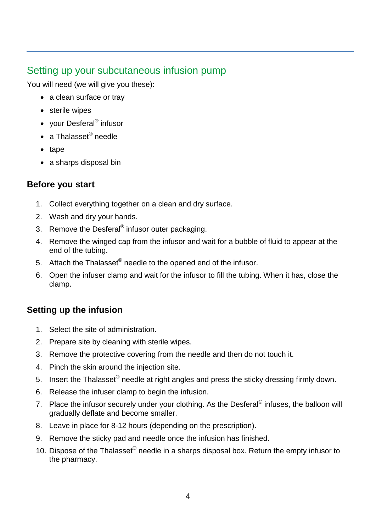## Setting up your subcutaneous infusion pump

You will need (we will give you these):

- a clean surface or tray
- sterile wipes
- your Desferal<sup>®</sup> infusor
- $\bullet$   $\,$  a Thalasset $^\circledR$  needle
- $\bullet$  tape
- a sharps disposal bin

#### **Before you start**

- 1. Collect everything together on a clean and dry surface.
- 2. Wash and dry your hands.
- 3. Remove the Desferal® infusor outer packaging.
- 4. Remove the winged cap from the infusor and wait for a bubble of fluid to appear at the end of the tubing.
- 5. Attach the Thalasset® needle to the opened end of the infusor.
- 6. Open the infuser clamp and wait for the infusor to fill the tubing. When it has, close the clamp.

#### **Setting up the infusion**

- 1. Select the site of administration.
- 2. Prepare site by cleaning with sterile wipes.
- 3. Remove the protective covering from the needle and then do not touch it.
- 4. Pinch the skin around the injection site.
- 5. Insert the Thalasset® needle at right angles and press the sticky dressing firmly down.
- 6. Release the infuser clamp to begin the infusion.
- 7. Place the infusor securely under your clothing. As the Desferal<sup>®</sup> infuses, the balloon will gradually deflate and become smaller.
- 8. Leave in place for 8-12 hours (depending on the prescription).
- 9. Remove the sticky pad and needle once the infusion has finished.
- 10. Dispose of the Thalasset® needle in a sharps disposal box. Return the empty infusor to the pharmacy.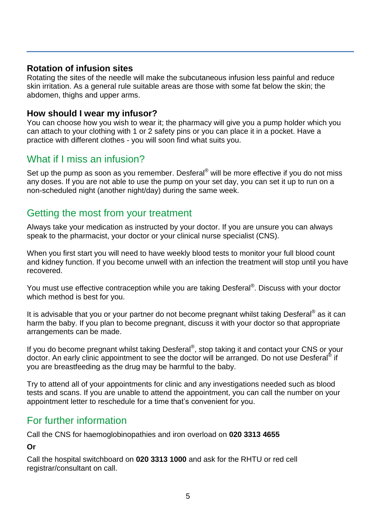#### **Rotation of infusion sites**

Rotating the sites of the needle will make the subcutaneous infusion less painful and reduce skin irritation. As a general rule suitable areas are those with some fat below the skin; the abdomen, thighs and upper arms.

#### **How should I wear my infusor?**

You can choose how you wish to wear it; the pharmacy will give you a pump holder which you can attach to your clothing with 1 or 2 safety pins or you can place it in a pocket. Have a practice with different clothes - you will soon find what suits you.

# What if I miss an infusion?

Set up the pump as soon as you remember. Desferal<sup>®</sup> will be more effective if you do not miss any doses. If you are not able to use the pump on your set day, you can set it up to run on a non-scheduled night (another night/day) during the same week.

## Getting the most from your treatment

Always take your medication as instructed by your doctor. If you are unsure you can always speak to the pharmacist, your doctor or your clinical nurse specialist (CNS).

When you first start you will need to have weekly blood tests to monitor your full blood count and kidney function. If you become unwell with an infection the treatment will stop until you have recovered.

You must use effective contraception while you are taking Desferal®. Discuss with your doctor which method is best for you.

It is advisable that you or your partner do not become pregnant whilst taking Desferal® as it can harm the baby. If you plan to become pregnant, discuss it with your doctor so that appropriate arrangements can be made.

If you do become pregnant whilst taking Desferal®, stop taking it and contact your CNS or your doctor. An early clinic appointment to see the doctor will be arranged. Do not use Desferal<sup>®</sup> if you are breastfeeding as the drug may be harmful to the baby.

Try to attend all of your appointments for clinic and any investigations needed such as blood tests and scans. If you are unable to attend the appointment, you can call the number on your appointment letter to reschedule for a time that's convenient for you.

## For further information

Call the CNS for haemoglobinopathies and iron overload on **020 3313 4655** 

**Or** 

Call the hospital switchboard on **020 3313 1000** and ask for the RHTU or red cell registrar/consultant on call.